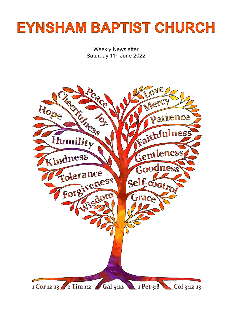# **EYNSHAM BAPTIST CHURCH**

Weekly Newsletter Saturday 11<sup>th</sup> June 2022

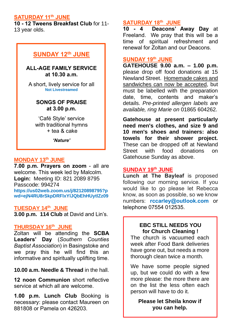## **SATURDAY 11th JUNE**

**10 - 12 Tweens Breakfast Club** for 11- 13 year olds.

# **SUNDAY 12th JUNE**

**ALL-AGE FAMILY SERVICE at 10.30 a.m.**

A short, lively service for all **Not Livestreamed**

## **SONGS OF PRAISE at 3.00 p.m.**

'Café Style' service with traditional hymns + tea & cake

*'Nature'*

## **MONDAY 13th JUNE**

**7.00 p.m. Prayers on zoom** - all are welcome. This week led by Malcolm. **Login:** Meeting ID: 821 2089 8795 Passcode: 994274 **[https://us02web.zoom.us/j/82120898795?p](https://us02web.zoom.us/j/82120898795?pwd=ejN4RU8rSkpDRFlxYlJQbEhHUytlZz09) [wd=ejN4RU8rSkpDRFlxYlJQbEhHUytlZz09](https://us02web.zoom.us/j/82120898795?pwd=ejN4RU8rSkpDRFlxYlJQbEhHUytlZz09)**

### **TUESDAY 14th JUNE**

**3.00 p.m. 114 Club** at David and Lin's.

#### **THURSDAY 16th JUNE**

Zoltan will be attending the **SCBA Leaders' Day** (*Southern Counties Baptist Association*) in Basingstoke and we pray this he will find this an informative and spiritually uplifting time.

**10.00 a.m. Needle & Thread** in the hall.

**12 noon Communion** short reflective service at which all are welcome.

**1.00 p.m. Lunch Club** Booking is necessary: please contact Maureen on 881808 or Pamela on 426203.

## **SATURDAY 18th JUNE**

**10 - 4 Deacons' Away Day** at Freeland. We pray that this will be a time of spiritual refreshment and renewal for Zoltan and our Deacons.

## **SUNDAY 19th JUNE**

**GATEHOUSE 9.00 a.m. – 1.00 p.m.** please drop off food donations at 15 Newland Street. Homemade cakes and sandwiches can now be accepted, but must be labelled with the preparation date, time, contents and maker's details. *Pre-printed allergen labels are available, ring Marie on* 01865 604262.

**Gatehouse at present particularly need men's clothes, and size 9 and 10 men's shoes and trainers: also towels for their shower project.** These can be dropped off at Newland Street with food donations on Gatehouse Sunday as above.

## **SUNDAY 19th JUNE**

**Lunch at The Bayleaf** is proposed following our morning service. If you would like to go please let Rebecca know, as soon as possible, so we know numbers: **rccarley@outlook.com** or telephone 07554 012535.

## **EBC STILL NEEDS YOU for Church Cleaning !**

The church is vacuumed each week after Food Bank deliveries have gone out, but needs a more thorough clean twice a month.

We have some people signed up, but we could do with a few more please: the more there are on the list the less often each person will have to do it.

**Please let Sheila know if you can help.**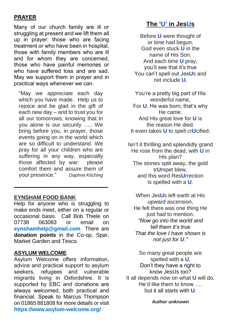# **PRAYER**

Many of our church family are ill or struggling at present and we lift them all up in prayer: those who are facing treatment or who have been in hospital, those with family members who are ill and for whom they are concerned, those who have painful memories or who have suffered loss and are sad. May we support them in prayer and in practical ways whenever we can.

"May we appreciate each day which you have made. Help us to rejoice and be glad in the gift of each new day – and to trust you for all our tomorrows, knowing that in you alone is our security ….. We bring before you, in prayer, those events going on in the world which are so difficult to understand. We pray for all your children who are suffering in any way, especially those affected by war: please comfort them and assure them of your presence." *Daphne Kitching*

## **EYNSHAM FOOD BANK**

Help for anyone who is struggling to make ends meet, either on a regular or occasional basis. Call Bob Thiele on 07738 063083 or email on **[eynshamhelp@gmail.com](mailto:eynshamhelp@gmail.com)** There are **donation points** in the Co-op, Spar, Market Garden and Tesco.

**\_\_\_\_\_\_\_\_\_\_\_\_\_\_\_\_\_\_\_\_\_\_\_\_\_\_\_\_\_\_\_**

#### **ASYLUM WELCOME**

Asylum Welcome offers information, advice and practical support to asylum seekers, refugees and vulnerable migrants living in Oxfordshire. It is supported by EBC and donations are always welcomed, both practical and financial. Speak to Marcus Thompson on 01865 881808 for more details or visit **<https://www.asylum-welcome.org/>**

# **The 'U' in JesUs**

Before **U** were thought of or time had begun, God even stuck **U** in the name of His Son. And each time **U** pray, you'll see that it's true You can't spell out Jes**U**s and not include **U.**

You're a pretty big part of His wonderful name, For **U**, He was born; that's why He came. And His great love for **U** is the reason He died. It even takes **U** to spell cr**U**cified.

Isn't it thrilling and splendidly grand He rose from the dead, with **U** in His plan? The stones split away, the gold tr**U**mpet blew, and this word Res**U**rrection is spelled with a **U**.

When Jes**U**s left earth at His upward ascension, He felt there was one thing He just had to mention. *"Now go into the world and tell them it's true That the love I have shown is not just for U."*

So many great people are spelled with a **U**, Don't they have a right to know Jes**U**s too? It all depends now on what **U** will do, He'd like them to know …. but it all starts with **U**.

*Author unknown*